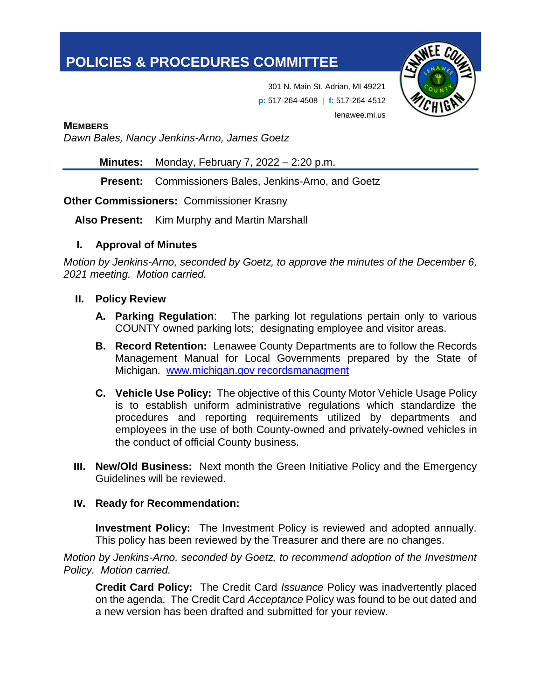# **POLICIES & PROCEDURES COMMITTEE**



301 N. Main St. Adrian, MI 49221 **p:** 517-264-4508 | **f:** 517-264-4512 lenawee.mi.us

**MEMBERS**

*Dawn Bales, Nancy Jenkins-Arno, James Goetz*

**Minutes:** Monday, February 7, 2022 – 2:20 p.m.

**Present:** Commissioners Bales, Jenkins-Arno, and Goetz

#### **Other Commissioners:** Commissioner Krasny

**Also Present:** Kim Murphy and Martin Marshall

#### I. **Approval of Minutes**

*Motion by Jenkins-Arno, seconded by Goetz, to approve the minutes of the December 6, 2021 meeting. Motion carried.*

#### II. **Policy Review**

- **A. Parking Regulation**: The parking lot regulations pertain only to various COUNTY owned parking lots; designating employee and visitor areas.
- **B. Record Retention:** Lenawee County Departments are to follow the Records Management Manual for Local Governments prepared by the State of Michigan. www.michigan.gov recordsmanagment
- **C. Vehicle Use Policy:** The objective of this County Motor Vehicle Usage Policy is to establish uniform administrative regulations which standardize the procedures and reporting requirements utilized by departments and employees in the use of both County-owned and privately-owned vehicles in the conduct of official County business.
- III. **New/Old Business:** Next month the Green Initiative Policy and the Emergency Guidelines will be reviewed.

## IV. **Ready for Recommendation:**

**Investment Policy:** The Investment Policy is reviewed and adopted annually. This policy has been reviewed by the Treasurer and there are no changes.

*Motion by Jenkins-Arno, seconded by Goetz, to recommend adoption of the Investment Policy. Motion carried.*

**Credit Card Policy:** The Credit Card *Issuance* Policy was inadvertently placed on the agenda. The Credit Card *Acceptance* Policy was found to be out dated and a new version has been drafted and submitted for your review.